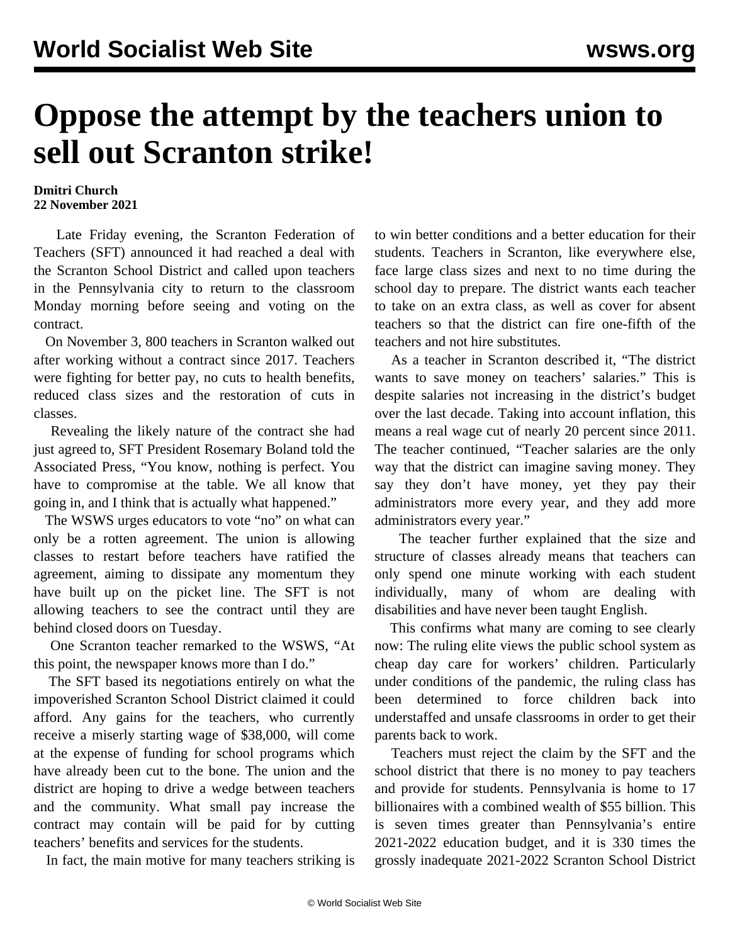## **Oppose the attempt by the teachers union to sell out Scranton strike!**

## **Dmitri Church 22 November 2021**

 Late Friday evening, the Scranton Federation of Teachers (SFT) announced it had reached a deal with the Scranton School District and called upon teachers in the Pennsylvania city to return to the classroom Monday morning before seeing and voting on the contract.

 On November 3, 800 teachers in Scranton walked out after working without a contract since 2017. Teachers were fighting for better pay, no cuts to health benefits, reduced class sizes and the restoration of cuts in classes.

 Revealing the likely nature of the contract she had just agreed to, SFT President Rosemary Boland told the Associated Press, "You know, nothing is perfect. You have to compromise at the table. We all know that going in, and I think that is actually what happened."

 The WSWS urges educators to vote "no" on what can only be a rotten agreement. The union is allowing classes to restart before teachers have ratified the agreement, aiming to dissipate any momentum they have built up on the picket line. The SFT is not allowing teachers to see the contract until they are behind closed doors on Tuesday.

 One Scranton teacher remarked to the WSWS, "At this point, the newspaper knows more than I do."

 The SFT based its negotiations entirely on what the impoverished Scranton School District claimed it could afford. Any gains for the teachers, who currently receive a miserly starting wage of \$38,000, will come at the expense of funding for school programs which have already been cut to the bone. The union and the district are hoping to drive a wedge between teachers and the community. What small pay increase the contract may contain will be paid for by cutting teachers' benefits and services for the students.

In fact, the main motive for many teachers striking is

to win better conditions and a better education for their students. Teachers in Scranton, like everywhere else, face large class sizes and next to no time during the school day to prepare. The district wants each teacher to take on an extra class, as well as cover for absent teachers so that the district can fire one-fifth of the teachers and not hire substitutes.

 As a teacher in Scranton described it, "The district wants to save money on teachers' salaries." This is despite salaries not increasing in the district's budget over the last decade. Taking into account inflation, this means a real wage cut of nearly 20 percent since 2011. The teacher continued, "Teacher salaries are the only way that the district can imagine saving money. They say they don't have money, yet they pay their administrators more every year, and they add more administrators every year."

 The teacher further explained that the size and structure of classes already means that teachers can only spend one minute working with each student individually, many of whom are dealing with disabilities and have never been taught English.

 This confirms what many are coming to see clearly now: The ruling elite views the public school system as cheap day care for workers' children. Particularly under conditions of the pandemic, the ruling class has been determined to force children back into understaffed and unsafe classrooms in order to get their parents back to work.

 Teachers must reject the claim by the SFT and the school district that there is no money to pay teachers and provide for students. Pennsylvania is home to 17 billionaires with a combined wealth of \$55 billion. This is seven times greater than Pennsylvania's entire 2021-2022 education budget, and it is 330 times the grossly inadequate 2021-2022 Scranton School District